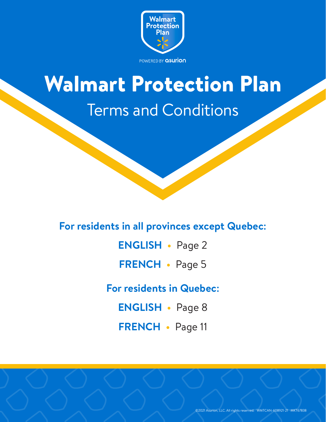

# <span id="page-0-0"></span>Walmart Protection Plan Terms and Conditions

# **For residents in all provinces except Quebec:**

**[ENGLISH •](#page-1-0)** Page 2

**[FRENCH •](#page-4-0)** Page 5

**For residents in Quebec:** 

**[ENGLISH •](#page-7-0)** Page 8

**[FRENCH •](#page-10-0)** Page 11

©2021 Asurion, LLC. All rights reserved. WMTCAN-608921-21 MKT67838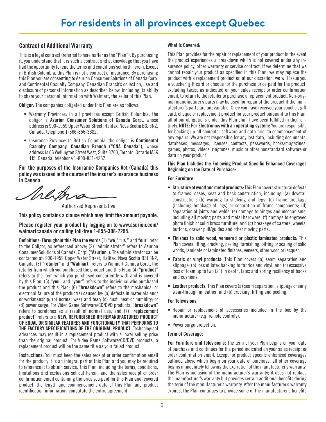# <span id="page-1-0"></span>Contract of Additional Warranty

This is a legal contract (referred to hereinafter as the "Plan"). By purchasing it, you understand that it is such a contract and acknowledge that you have had the opportunity to read the terms and conditions set forth herein. Except in British Columbia, this Plan is not a contract of insurance. By purchasing this Plan you are consenting to Asurion Consumer Solutions of Canada Corp. and Continental Casualty Company, Canadian Branch's collection, use and disclosure of personal information as described below, including its ability to share your personal information with Walmart, the seller of this Plan.

**Obligor:** The companies obligated under this Plan are as follows:

- Warranty Provinces: In all provinces except British Columbia, the obligor is Asurion Consumer Solutions of Canada Corp., whose address is 900-1959 Upper Water Street, Halifax, Nova Scotia B3J 3N2, Canada, telephone 1-866-856-3882.
- Insurance Province: In British Columbia, the obligor is Continental Casualty Company, Canadian Branch ("CNA Canada"), whose address is 66 Wellington Street West, Suite 3700, Toronto, Ontario M5K 1J5, Canada, telephone 1-800-831-4262.

For the purposes of the Insurance Companies Act (Canada) this policy was issued in the course of the insurer's insurance business in Canada.

Werne

Authorized Representative

This policy contains a clause which may limit the amount payable.

Please register your product by logging on to www.asurion.com/ walmartcanada or calling toll-free 1-855-308-7295.

Definitions: Throughout this Plan the words (1) "we," "us," and "our" refer to the Obligor, as referenced above; (2) "administrator" refers to Asurion Consumer Solutions of Canada, Corp. ("Asurion"). The administrator can be contacted at: 900-1959 Upper Water Street, Halifax, Nova Scotia B3J 3N2, Canada; (3) "retailer" and "Walmart" refers to Walmart Canada Corp., the retailer from which you purchased the product and this Plan; (4) "product" refers to the item which you purchased concurrently with and is covered by this Plan; (5) "you" and "your" refers to the individual who purchased the product and this Plan; (6) "breakdown" refers to the mechanical or electrical failure of the product(s) caused by: (a) defects in materials and/ or workmanship; (b) normal wear and tear; (c) dust, heat or humidity; or (d) power surge; For Video Game Software/CD/DVD products, "breakdown" refers to scratches as a result of normal use; and (7) "replacement product" refers to a NEW, REFURBISHED OR REMANUFACTURED PRODUCT OF EQUAL OR SIMILAR FEATURES AND FUNCTIONALITY THAT PERFORMS TO THE FACTORY SPECIFICATIONS OF THE ORIGINAL PRODUCT. Technological advances may result in a replacement product with a lower selling price than the original product. For Video Game Software/CD/DVD products, a replacement product will be the same title as your failed product.

Instructions: You must keep the sales receipt or order confirmation email for the product; it is an integral part of this Plan and you may be required to reference it to obtain service. This Plan, including the terms, conditions, limitations and exclusions set out herein, and the sales receipt or order confirmation email containing the price you paid for this Plan and covered product, the length and commencement date of this Plan and product identification information, constitute the entire agreement.

# What is Covered:

This Plan provides for the repair or replacement of your product in the event the product experiences a breakdown which is not covered under any insurance policy, other warranty or service contract. If we determine that we cannot repair your product as specified in this Plan, we may replace the product with a replacement product or, at our discretion, we will issue you a voucher, gift card or cheque for the purchase price paid for the product, excluding taxes, as indicated on your sales receipt or order confirmation email, to return to the retailer to purchase a replacement product. Non-original manufacturer's parts may be used for repair of the product if the manufacturer's parts are unavailable. Once you have received your voucher, gift card, cheque or replacement product for your product pursuant to this Plan, all of our obligations under this Plan shall have been fulfilled in their entirety. NOTE: For Electronics with an operating system: You are responsible for backing up all computer software and data prior to commencement of any repairs. We are not responsible for any lost data, including documents, databases, messages, licenses, contacts, passwords, books/magazines, games, photos, videos, ringtones, music or other nonstandard software or data on your product

This Plan Includes the Following Product Specific Enhanced Coverages Beginning on the Date of Purchase:

# For Furniture:

- Structure of wood and metal products: This Plan covers structural defects to frames, cases, seat and back construction, including: (a) dovetail construction; (b) warping to shelving and legs; (c) frame breakage (including breakage of legs) or separation of frame components; (d) separation of joints and welds; (e) damage to hinges and mechanisms, including all moving parts and metal hardware; (f) damage to engraved photo finish or solid brass furniture; and (g) breakage of casters, wheels, buttons, drawer pull/guides and other moving parts.
- Finishes to solid wood, veneered or plastic laminated products: This Plan covers lifting, cracking, peeling, tarnishing, pitting or scaling of solid woods, laminate or laminated finishes, veneers, other wood or lacquer.
- Fabric or vinyl products: This Plan covers (a) seam separation and slippage; (b) loss of latex backing to fabrics and vinyl; and (c) excessive loss of foam up to two (2") in depth, latex and spring resiliency of backs and cushions.
- Leather products: This Plan covers (a) seam separation, slippage or early wear-through in leather; and (b) cracking, lifting and peeling.

# For Televisions:

- Repair or replacement of accessories included in the box by the manufacturer (e.g. remote controls).
- Power surge protection.

# Term of Coverage:

For Furniture and Televisions: The term of your Plan begins on your date of purchase and continues for the period indicated on your sales receipt or order confirmation email. Except for product specific enhanced coverages outlined above which begin on your date of purchase; all other coverage begins immediately following the expiration of the manufacturer's warranty. The Plan is inclusive of the manufacturer's warranty; it does not replace the manufacturer's warranty but provides certain additional benefits during the term of the manufacturer's warranty. After the manufacturer's warranty expires, the Plan continues to provide some of the manufacturer's benefits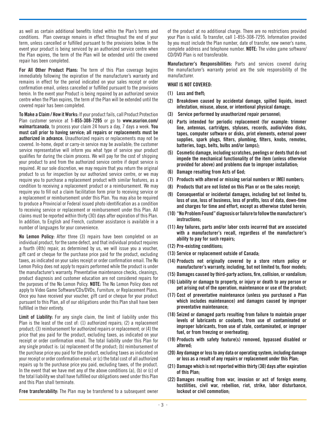as well as certain additional benefits listed within the Plan's terms and conditions. Plan coverage remains in effect throughout the end of your term, unless cancelled or fulfilled pursuant to the provisions below. In the event your product is being serviced by an authorized service centre when the Plan expires, the term of the Plan will be extended until the covered repair has been completed.

For All Other Product Plans: The term of this Plan coverage begins immediately following the expiration of the manufacturer's warranty and remains in effect for the period indicated on your sales receipt or order confirmation email, unless cancelled or fulfilled pursuant to the provisions herein. In the event your Product is being repaired by an authorized service centre when the Plan expires, the term of the Plan will be extended until the covered repair has been completed.

To Make a Claim / How it Works: If your product fails, call Product Protection Plan customer service at 1-855-308-7295 or go to www.asurion.com/ walmartcanada, to process your claim 24 hours a day, 7 days a week. You must call prior to having service; all repairs or replacements must be authorized in advance. Unauthorized repairs or replacements may not be covered. In-home, depot or carry-in service may be available; the customer service representative will inform you what type of service your product qualifies for during the claim process. We will pay for the cost of shipping your product to and from the authorized service centre if depot service is required. At our sole discretion, we may require that you return the original product to us for inspection by our authorized service centre, or we may require you to purchase a replacement product with similar features, as a condition to receiving a replacement product or a reimbursement. We may require you to fill out a claim facilitation form prior to receiving service or a replacement or reimbursement under this Plan. You may also be required to produce a Provincial or Federal issued photo identification as a condition to receiving service or replacement or reimbursement under this Plan. All claims must be reported within thirty (30) days after expiration of this Plan. In addition, to English and French, customer assistance is available in a number of languages for your convenience.

No Lemon Policy: After three (3) repairs have been completed on an individual product, for the same defect, and that individual product requires a fourth (4th) repair, as determined by us, we will issue you a voucher, gift card or cheque for the purchase price paid for the product, excluding taxes, as indicated on your sales receipt or order confirmation email. The No Lemon Policy does not apply to repairs performed while the product is under the manufacturer's warranty. Preventative maintenance checks, cleanings, product diagnosis and customer education are not considered repairs for the purposes of the No Lemon Policy. NOTE: The No Lemon Policy does not apply to Video Game Software/CDs/DVDs, Furniture, or Replacement Plans. Once you have received your voucher, gift card or cheque for your product pursuant to this Plan, all of our obligations under this Plan shall have been fulfilled in their entirety.

Limit of Liability: For any single claim, the limit of liability under this Plan is the least of the cost of: (1) authorized repairs; (2) a replacement product; (3) reimbursement for authorized repairs or replacement; or (4) the price that you paid for the product, excluding taxes, as indicated on your receipt or order confirmation email. The total liability under this Plan for any single product is: (a) replacement of the product; (b) reimbursement of the purchase price you paid for the product, excluding taxes as indicated on your receipt or order confirmation email; or (c) the total cost of all authorized repairs up to the purchase price you paid, excluding taxes, of the product. In the event that we have met any of the above conditions (a), (b) or (c) of the total liability we shall have fulfilled our obligations owed under this Plan and this Plan shall terminate.

Free transferability: The Plan may be transferred to a subsequent owner

of the product at no additional charge. There are no restrictions provided your Plan is valid. To transfer, call 1-855-308-7295. Information provided by you must include the Plan number, date of transfer, new owner's name, complete address and telephone number. NOTE: The video game software/ CD/DVD Plan is not transferable.

Manufacturer's Responsibilities: Parts and services covered during the manufacturer's warranty period are the sole responsibility of the manufacturer.

#### WHAT IS NOT COVERED:

- (1) Loss and theft;
- (2) Breakdown caused by accidental damage, spilled liquids, insect infestation, misuse, abuse, or intentional physical damage;
- (3) Service performed by unauthorized repair personnel;
- (4) Parts intended for periodic replacement (for example: trimmer line, antennas, cartridges, styluses, records, audio/video disks, tapes, computer software or disks, print elements, external power supplies, spark plugs, filters, plumbing, filters, knobs, remotes, batteries, bags, belts, bulbs and/or lamps);
- (5) Cosmetic damage, including scratches, peelings or dents that do not impede the mechanical functionality of the item (unless otherwise provided for above) and problems due to improper installation;
- (6) Damage resulting from Acts of God;
- (7) Products with altered or missing serial numbers or IMEI numbers;
- (8) Products that are not listed on this Plan or on the sales receipt;
- (9) Consequential or incidental damages, including but not limited to, loss of use, loss of business, loss of profits, loss of data, down-time and charges for time and effort, except as otherwise stated herein;
- (10) "No Problem Found" diagnosis or failure to follow the manufacturer's instructions;
- (11) Any failures, parts and/or labor costs incurred that are associated with a manufacturer's recall, regardless of the manufacturer's ability to pay for such repairs;
- (12) Pre-existing conditions;
- (13) Service or replacement outside of Canada;
- (14) Products not originally covered by a store return policy or manufacturer's warranty, including, but not limited to, floor models;
- (15) Damages caused by third-party actions, fire, collision, or vandalism;
- (16) Liability or damage to property, or injury or death to any person or pet arising out of the operation, maintenance or use of the product;
- (17) Cost of preventative maintenance (unless you purchased a Plan which includes maintenance) and damages caused by improper preventative maintenance;
- (18) Seized or damaged parts resulting from failure to maintain proper levels of lubricants or coolants, from use of contaminated or improper lubricants, from use of stale, contaminated, or improper fuel, or from freezing or overheating;
- (19) Products with safety feature(s) removed, bypassed disabled or altered;
- (20) Any damage or loss to any data or operating system, including damage or loss as a result of any repairs or replacement under this Plan;
- (21) Damage which is not reported within thirty (30) days after expiration of this Plan;
- (22) Damages resulting from war, invasion or act of foreign enemy, hostilities, civil war, rebellion, riot, strike, labor disturbance, lockout or civil commotion;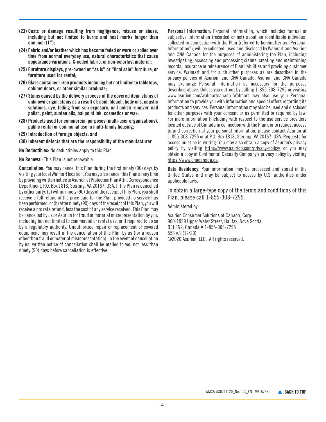- (23) Costs or damage resulting from negligence, misuse or abuse, including but not limited to burns and heat marks longer than one inch (1");
- (24) Fabric and/or leather which has become faded or worn or soiled over time from normal everyday use, natural characteristics that cause appearance variations, X-coded fabric, or non-colorfast material;
- (25) Furniture displays, pre-owned or "as is" or "final sale" furniture, or furniture used for rental;
- (26) Glass contained in/on products including but not limited to tabletops, cabinet doors, or other similar products;
- (27) Stains caused by the delivery process of the covered item; stains of unknown origin; stains as a result of: acid, bleach, body oils, caustic solutions, dye, fading from sun exposure, nail polish remover, nail polish, paint, suntan oils, ballpoint ink, cosmetics or wax;
- (28) Products used for commercial purposes (multi-user organizations), public rental or communal use in multi-family housing;
- (29) Introduction of foreign objects; and
- (30) Inherent defects that are the responsibility of the manufacturer.

No Deductibles: No deductibles apply to this Plan.

No Renewal: This Plan is not renewable.

Cancellation: You may cancel this Plan during the first ninety (90) days by visiting your local Walmart location. You may also cancel this Plan at any time by providing written notice to Asurion at Protection Plan Attn: Correspondence Department, P.O. Box 1818, Sterling, VA 20167, USA. If the Plan is cancelled by either party: (a) within ninety (90) days of the receipt of this Plan, you shall receive a full refund of the price paid for the Plan, provided no service has been performed, or (b) after ninety (90) days of the receipt of this Plan, you will receive a pro rata refund, less the cost of any service received. This Plan may be cancelled by us or Asurion for fraud or material misrepresentation by you, including but not limited to commercial or rental use, or if required to do so by a regulatory authority. Unauthorized repair or replacement of covered equipment may result in the cancellation of this Plan by us (for a reason other than fraud or material misrepresentation). In the event of cancellation by us, written notice of cancellation shall be mailed to you not less than ninety (90) days before cancellation is effective.

Personal Information: Personal information, which includes factual or subjective information (recorded or not) about an identifiable individual collected in connection with the Plan (referred to hereinafter as "Personal Information"), will be collected, used and disclosed by Walmart and Asurion and CNA Canada for the purposes of administering the Plan, including investigating, assessing and processing claims, creating and maintaining records, insurance or reinsurance of Plan liabilities and providing customer service. Walmart and for such other purposes as are described in the privacy policies of Asurion, and CNA Canada, Asurion and CNA Canada may exchange Personal Information as necessary for the purposes described above. Unless you opt-out by calling 1-855-308-7295 or visiting www.asurion.com/walmartcanada Walmart may also use your Personal Information to provide you with information and special offers regarding its products and services. Personal Information may also be used and disclosed for other purposes with your consent or as permitted or required by law. For more information (including with respect to the use service providers located outside of Canada in connection with the Plan), or to request access to and correction of your personal information, please contact Asurion at 1-855-308-7295 or at P.O. Box 1818, Sterling, VA 20167, USA. Requests for access must be in writing. You may also obtain a copy of Asurion's privacy policy by visiting https://www.asurion.com/privacy-policy/ or you may obtain a copy of Continental Casualty Company's privacy policy by visiting https://www.cnacanada.ca.

Data Residency: Your information may be processed and stored in the United States and may be subject to access by U.S. authorities under applicable laws.

To obtain a large-type copy of the terms and conditions of this Plan, please call 1-855-308-7295.

Administered by:

Asurion Consumer Solutions of Canada, Corp. 900-1959 Upper Water Street, Halifax, Nova Scotia B3J 3N2, Canada • 1-855-308-7295 558 v.1 (12/20) ©2020 Asurion, LLC. All rights reserved.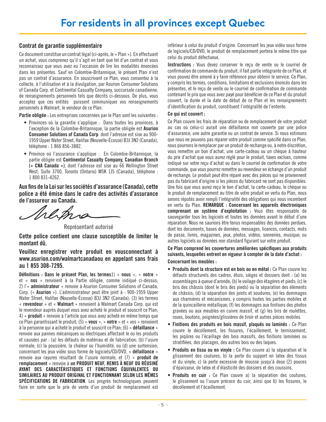# <span id="page-4-0"></span>Contrat de garantie supplémentaire

Ce document constitue un contrat légal (ci-après, le « Plan »). En effectuant un achat, vous comprenez qu'il s'agit en tant que tel d'un contrat et vous reconnaissez que vous avez eu l'occasion de lire les modalités énoncées dans les présentes. Sauf en Colombie-Britannique, le présent Plan n'est pas un contrat d'assurance. En souscrivant ce Plan, vous consentez à la collecte, à l'utilisation et à la divulgation, par Asurion Consumer Solutions of Canada Corp. et Continental Casualty Company, succursale canadienne, de renseignements personnels tels que décrits ci-dessous. De plus, vous acceptez que ces entités puissent communiquer vos renseignements personnels à Walmart, le vendeur de ce Plan.

Partie obligée : Les entreprises concernées par le Plan sont les suivantes :

- Provinces où la garantie s'applique : Dans toutes les provinces, à l'exception de la Colombie-Britannique, la partie obligée est Asurion Consumer Solutions of Canada Corp. dont l'adresse est sise au 900- 1959 Upper Water Street, Halifax (Nouvelle-Écosse) B3J 3N2 (Canada), téléphone : 1 866 856-3882.
- Province où l'assurance s'applique : En Colombie-Britannique, la partie obligée est Continental Casualty Company, Canadian Branch (« CNA Canada »), dont l'adresse est sise au 66 Wellington Street West, Suite 3700, Toronto (Ontario) M5K 1J5 (Canada), téléphone : 1 800 831-4262.

Aux fins de la Loi sur les sociétés d'assurance (Canada), cette police a été émise dans le cadre des activités d'assurance de l'assureur au Canada.

1 P. B

Représentant autorisé

Cette police contient une clause susceptible de limiter le montant dû.

# Veuillez enregistrer votre produit en vousconnectant à www.asurion.com/walmartcanadaou en appelant sans frais au 1 855 308-7295.

Définitions : Dans le présent Plan, les termes1) « nous », « notre » et « nos » renvoient à la Partie obligée, comme indiqué ci-dessus; 2) l'« administrateur » renvoie à Asurion Consumer Solutions of Canada, Corp. (« Asurion »). L'administrateur peut être joint à : 900-1959 Upper Water Street, Halifax (Nouvelle-Écosse) B3J 3N2 (Canada); (3) les termes « revendeur » et « Walmart » renvoient à Walmart Canada Corp. qui est le revendeur auprès duquel vous avez acheté le produit et souscrit ce Plan; 4) « produit » renvoie à l'article que vous avez acheté en même temps que ce Plan garantissant le produit; (5) « vous », « votre » et « vos » renvoient à la personne qui a acheté le produit et souscrit ce Plan; (6) « défaillance » renvoie aux pannes mécaniques ou électriques affectant le ou les produits et causées par : (a) les défauts de matériau et de fabrication; (b) l'usure normale; (c) la poussière, la chaleur ou l'humidité, ou (d) une surtension; concernant les jeux vidéo sous forme de logiciels/CD/DVD, « défaillance » renvoie aux rayures résultant de l'usure normale, et (7) « produit de remplacement » renvoie à un PRODUIT NEUF, REMIS À NEUF OU RÉUSINÉ AYANT DES CARACTÉRISTIQUES ET FONCTIONS ÉQUIVALENTES OU SIMILAIRES AU PRODUIT ORIGINAL ET FONCTIONNANT SELON LES MÊMES SPÉCIFICATIONS DE FABRICATION. Les progrès technologiques peuvent faire en sorte que le prix de vente d'un produit de remplacement est

inférieur à celui du produit d'origine. Concernant les jeux vidéo sous forme de logiciels/CD/DVD, le produit de remplacement portera le même titre que celui du produit défectueux.

Instructions : Vous devez conserver le reçu de vente ou le courriel de confirmation de commande du produit; il fait partie intégrante de ce Plan, et vous pouvez être amené à y faire référence pour obtenir le service. Ce Plan, y compris les termes, conditions, limitations et exclusions énoncés dans les présentes, et le reçu de vente ou le courriel de confirmation de commande contenant le prix que vous avez payé pour bénéficier de ce Plan et du produit couvert, la durée et la date de début de ce Plan et les renseignements d'identification du produit, constituent l'intégralité de l'entente.

# Ce qui est couvert :

Ce Plan couvre les frais de réparation ou de remplacement de votre produit au cas où celui-ci aurait une défaillance non couverte par une police d'assurance, une autre garantie ou un contrat de service. Si nous estimons que nous ne pouvons pas réparer votre produit comme spécifié dans ce Plan, nous pourrons le remplacer par un produit de rechange ou, à notre discrétion, vous remettre un bon d'achat, une carte-cadeau ou un chèque à hauteur du prix d'achat que vous aurez réglé pour le produit, taxes exclues, comme indiqué sur votre reçu d'achat ou dans le courriel de confirmation de votre commande, que vous pourrez remettre au revendeur en échange d'un produit de rechange. Le produit peut être réparé avec des pièces qui ne proviennent pas du fabricant d'origine si les pièces du fabricant ne sont pas disponibles. Une fois que vous aurez reçu le bon d'achat, la carte-cadeau, le chèque ou le produit de remplacement au titre de votre produit en vertu du Plan, nous serons réputés avoir rempli l'intégralité des obligations qui nous incombent en vertu du Plan. REMARQUE : Concernant les appareils électroniques comprenant un système d'exploitation : Vous êtes responsable de sauvegarder tous les logiciels et toutes les données avant le début d'une réparation. Nous ne saurions être tenus responsables des données perdues, dont les documents, bases de données, messages, licences, contacts, mots de passe, livres, magazines, jeux, photos, vidéos, sonneries, musique; ou autres logiciels ou données non standard figurant sur votre produit.

#### Ce Plan comprend les couvertures améliorées spécifiques aux produits suivants, lesquelles entrent en vigueur à compter de la date d'achat : Concernant les meubles :

- Produits dont la structure est en bois ou en métal : Ce Plan couvre les défauts structurels des cadres, étuis, sièges et dossiers dont : (a) les assemblages à queue d'aronde; (b) le voilage des étagères et pieds; (c) le bris des châssis (dont le bris des pieds) ou la séparation des éléments de châssis; (d) la séparation des joints et soudures; (e) les dommages aux charnières et mécanismes, y compris toutes les parties mobiles et de la quincaillerie métallique; (f) les dommages aux finitions des photos gravées ou aux meubles en cuivre massif, et (g) les bris de roulettes, roues, boutons, poignées/glissières de tiroir et autres pièces mobiles.
- Finitions des produits en bois massif, plaqués ou laminés : Ce Plan couvre le décollement, les fissures, l'écaillement, le ternissement, les piqûres ou l'écaillage des bois massifs, des finitions laminées ou stratifiées, des placages, des autres bois ou des laques.
- Produits en tissu ou en vinyle : Ce Plan couvre a) la séparation et le glissement des coutures; b) la perte du support en latex des tissus et du vinyle; c) la perte excessive de mousse jusqu'à deux (2) pouces d'épaisseur, de latex et d'élasticité des dossiers et des coussins.
- Produits en cuir : Ce Plan couvre a) la séparation des coutures, le glissement ou l'usure précoce du cuir, ainsi que b) les fissures, le décollement et l'écaillement.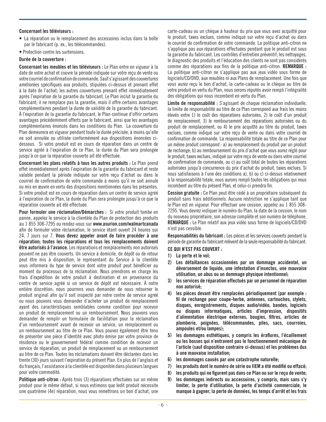#### Concernant les téléviseurs :

- La réparation ou le remplacement des accessoires inclus dans la boîte par le fabricant (p. ex., les télécommandes).
- Protection contre les surtensions.

# Durée de la couverture :

Concernant les meubles et les téléviseurs : Le Plan entre en vigueur à la date de votre achat et couvre la période indiquée sur votre reçu de vente ou votre courriel de confirmation de commande. Sauf s'agissant des couvertures améliorées spécifiques aux produits, stipulées ci-dessus et prenant effet à la date de l'achat; les autres couvertures prenant effet immédiatement après l'expiration de la garantie du fabricant. Le Plan inclut la garantie du fabricant; il ne remplace pas la garantie, mais il offre certains avantages complémentaires pendant la durée de validité de la garantie du fabricant. À l'expiration de la garantie du fabricant, le Plan continue d'offrir certains avantages précédemment offerts par le fabricant, ainsi que les avantages complémentaires énoncés dans les conditions du Plan. La couverture du Plan demeurera en vigueur pendant toute la durée précisée, à moins qu'elle ne soit annulée ou utilisée conformément aux dispositions énoncées cidessous. Si votre produit est en cours de réparation dans un centre de service agréé à l'expiration de ce Plan, la durée du Plan sera prolongée jusqu'à ce que la réparation couverte ait été effectuée.

Concernant les plans relatifs à tous les autres produits : Le Plan prend effet immédiatement après l'expiration de la garantie du fabricant et reste valable pendant la période indiquée sur votre reçu d'achat ou dans le courriel de confirmation de votre commande à moins qu'il ne soit annulé ou mis en œuvre en vertu des dispositions mentionnées dans les présentes. Si votre produit est en cours de réparation dans un centre de service agréé à l'expiration de ce Plan, la durée du Plan sera prolongée jusqu'à ce que la réparation couverte ait été effectuée.

Pour formuler une réclamation/Démarches : Si votre produit tombe en panne, appelez le service à la clientèle du Plan de protection des produits au 1 855 308-7295 ou rendez-vous sur www.asurion.com/walmartcanada afin de formuler votre réclamation, le service étant ouvert 24 heures sur 24, 7 jours sur 7. Vous devez appeler avant de faire procéder à une réparation; toutes les réparations et tous les remplacements doivent être autorisés à l'avance. Les réparations et remplacements non autorisés peuvent ne pas être couverts. Un service à domicile, de dépôt ou de retour peut être mis à disposition; le représentant du Service à la clientèle vous informera du type de service dont votre produit peut bénéficier au moment du processus de la réclamation. Nous prendrons en charge les frais d'expédition de votre produit à destination et en provenance du centre de service agréé si un service de dépôt est nécessaire. À notre entière discrétion, nous pourrons vous demander de nous retourner le produit original afin qu'il soit inspecté par notre centre de service agréé ou nous pouvons vous demander d'acheter un produit de remplacement ayant des caractéristiques semblables comme condition pour recevoir un produit de remplacement ou un remboursement. Nous pouvons vous demander de remplir un formulaire de facilitation pour la réclamation d'un remboursement avant de recevoir un service, un remplacement ou un remboursement au titre de ce Plan. Vous pouvez également être tenu de présenter une pièce d'identité avec photo émise par votre province de résidence ou le gouvernement fédéral comme condition de recevoir un service de réparation, un produit de remplacement ou un remboursement au titre de ce Plan. Toutes les réclamations doivent être déclarées dans les trente (30) jours suivant l'expiration du présent Plan. En plus de l'anglais et du français, l'assistance à la clientèle est disponible dans plusieurs langues pour votre commodité.

Politique anti-citron : Après trois (3) réparations effectuées sur un même produit pour le même défaut, si nous estimons que ledit produit nécessite une quatrième (4e) réparation, nous vous remettrons un bon d'achat, une

carte-cadeau ou un chèque à hauteur du prix que vous avez acquitté pour le produit, taxes exclues, comme indiqué sur votre reçu d'achat ou dans le courriel de confirmation de votre commande. La politique anti-citron ne s'applique pas aux réparations effectuées pendant que le produit est sous la garantie du fabricant. Les contrôles d'entretien préventif, les nettoyages, le diagnostic des produits et l'éducation des clients ne sont pas considérés comme des réparations aux fins de la politique anti-citron. REMARQUE : La politique anti-citron ne s'applique pas aux jeux vidéo sous forme de logiciels/CD/DVD, aux meubles ni aux Plans de remplacement. Une fois que vous aurez reçu le bon d'achat, la carte-cadeau ou le chèque au titre de votre produit en vertu du Plan, nous serons réputés avoir rempli l'intégralité des obligations qui nous incombent en vertu du Plan.

Limite de responsabilité : S'agissant de chaque réclamation individuelle, la limite de responsabilité au titre de ce Plan correspond aux frais les moins élevés entre 1) le coût des réparations autorisées, 2) le coût d'un produit de remplacement, 3) le remboursement des réparations autorisées ou du produit de remplacement, ou 4) le prix acquitté au titre du produit, taxes exclues, comme indiqué sur votre reçu de vente ou dans votre courriel de confirmation de commande. La responsabilité totale au titre de ce Plan pour un même produit correspond : a) au remplacement du produit par un produit de rechange; b) au remboursement du prix d'achat que vous aurez réglé pour le produit, taxes exclues, indiqué sur votre reçu de vente ou dans votre courriel de confirmation de commande, ou c) au coût total de toutes les réparations autorisées jusqu'à concurrence du prix d'achat du produit, taxes exclues. Si nous satisfaisons à l'une des conditions a), b) ou c) ci-dessus relativement à la responsabilité totale, nous aurons rempli toutes les obligations qui nous incombent au titre du présent Plan, et celui-ci prendra fin.

Cession gratuite : Ce Plan peut être cédé à un propriétaire subséquent du produit sans frais additionnels. Aucune restriction ne s'applique tant que le Plan est en vigueur. Pour effectuer une cession, appelez au 1 855 308- 7295. Vous devrez indiquer le numéro du Plan, la date de la cession, le nom du nouveau propriétaire, son adresse complète et son numéro de téléphone. REMARQUE : Le Plan relatif aux jeux vidéo sous forme de logiciels/CD/DVD n'est pas cessible.

Responsabilités du fabricant : Les pièces et les services couverts pendant la période de garantie du fabricant relèvent de la seule responsabilité du fabricant. CE QUI N'EST PAS COUVERT :

# 1) La perte et le vol;

- 2) Les défaillances occasionnées par un dommage accidentel, un déversement de liquide, une infestation d'insectes, une mauvaise utilisation, un abus ou un dommage physique intentionnel;
- 3) les services de réparation effectués par un personnel de réparation non autorisé;
- 4) les pièces devant être remplacées périodiquement (par exemple : fil de rechange pour coupe-herbe, antennes, cartouches, stylets, disques, enregistrements, disques audio/vidéo, bandes, logiciels ou disques informatiques, articles d'impression, dispositifs d'alimentation électrique externes, bougies, filtres, articles de plomberie, poignées, télécommandes, piles, sacs, courroies, ampoules et/ou lampes);
- 5) les dommages esthétiques, y compris les éraflures, l'écaillement ou les bosses qui n'entravent pas le fonctionnement mécanique de l'article (sauf disposition contraire ci-dessus) et les problèmes dus à une mauvaise installation;
- 6) les dommages causés par une catastrophe naturelle;
- 7) les produits dont le numéro de série ou IIEM a été modifié ou effacé;
- 8) les produits qui ne figurent pas dans ce Plan ou sur le reçu de vente;
- 9) les dommages indirects ou accessoires, y compris, mais sans s'y limiter, la perte d'utilisation, la perte d'activité commerciale, le manque à gagner, la perte de données, les temps d'arrêt et les frais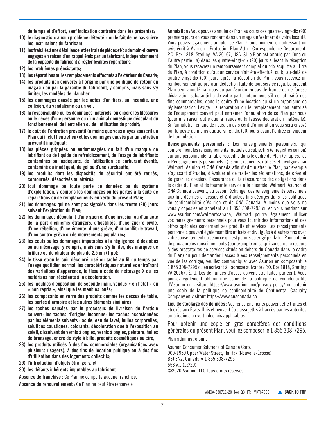de temps et d'effort, sauf indication contraire dans les présentes;

- 10) le diagnostic « aucun problème détecté » ou le fait de ne pas suivre les instructions du fabricant;
- 11) les frais liés à une défaillance, et les frais de pièces et/ou de main-d'œuvre engagés en raison d'un rappel émis par un fabricant, indépendamment de la capacité du fabricant à régler lesdites réparations;
- 12) les problèmes préexistants;
- 13) les réparations ou les remplacements effectués à l'extérieur du Canada;
- 14) les produits non couverts à l'origine par une politique de retour en magasin ou par la garantie du fabricant, y compris, mais sans s'y limiter, les modèles de plancher;
- 15) les dommages causés par les actes d'un tiers, un incendie, une collision, du vandalisme ou un vol;
- 16) la responsabilité ou les dommages matériels, ou encore les blessures ou le décès d'une personne ou d'un animal domestique découlant du fonctionnement, de l'entretien ou de l'utilisation du produit;
- 17) le coût de l'entretien préventif (à moins que vous n'ayez souscrit un Plan qui inclut l'entretien) et les dommages causés par un entretien préventif inadéquat;
- 18) les pièces grippées ou endommagées du fait d'un manque de lubrifiant ou de liquide de refroidissement, de l'usage de lubrifiants contaminés ou inadéquats, de l'utilisation de carburant éventé, contaminé ou inadéquat, du gel ou d'une surchauffe;
- 19) les produits dont les dispositifs de sécurité ont été retirés, contournés, désactivés ou altérés;
- 20) tout dommage ou toute perte de données ou du système d'exploitation, y compris les dommages ou les pertes à la suite de réparations ou de remplacements en vertu du présent Plan;
- 21) les dommages qui ne sont pas signalés dans les trente (30) jours suivant l'expiration du Plan;
- 22) les dommages découlant d'une guerre, d'une invasion ou d'un acte de la part d'ennemis étrangers, d'hostilités, d'une guerre civile, d'une rébellion, d'une émeute, d'une grève, d'un conflit de travail, d'une contre-grève ou de mouvements populaires;
- 23) les coûts ou les dommages imputables à la négligence, à des abus ou au mésusage, y compris, mais sans s'y limiter, des marques de brûlure ou de chaleur de plus de 2,5 cm (1 po);
- 24) le tissu et/ou le cuir décoloré, usé ou taché au fil du temps par l'usage quotidien normal, les caractéristiques naturelles entraînant des variations d'apparence, le tissu à code de nettoyage X ou les matériaux non résistants à la décoloration;
- 25) les meubles d'exposition, de seconde main, vendus « en l'état » ou « non repris », ainsi que les meubles loués;
- 26) les composants en verre des produits comme les dessus de table, les portes d'armoire et les autres éléments similaires;
- 27) les taches causées par le processus de livraison de l'article couvert; les taches d'origine inconnue; les taches occasionnées par les éléments suivants : acide, eau de Javel, huiles corporelles, solutions caustiques, colorants, décoloration due à l'exposition au soleil, dissolvant de vernis à ongles, vernis à ongles, peinture, huiles de bronzage, encre de stylo à bille, produits cosmétiques ou cire;
- 28) les produits utilisés à des fins commerciales (organisations avec plusieurs usagers), à des fins de location publique ou à des fins d'utilisation dans des logements collectifs;
- 29) l'introduction d'objets étrangers, et
- 30) les défauts inhérents imputables au fabricant.

Absence de franchise : Ce Plan ne comporte aucune franchise.

Absence de renouvellement : Ce Plan ne peut être renouvelé.

Annulation : Vous pouvez annuler ce Plan au cours des quatre-vingt-dix (90) premiers jours en vous rendant dans un magasin Walmart de votre localité. Vous pouvez également annuler ce Plan à tout moment en adressant un avis écrit à Asurion - Protection Plan Attn : Correspondence Department, P.O. Box 1818, Sterling, VA 20167, USA. Si le Plan est annulé par l'une ou l'autre partie : a) dans les quatre-vingt-dix (90) jours suivant la réception du Plan, vous recevrez un remboursement complet du prix acquitté au titre du Plan, à condition qu'aucun service n'ait été effectué, ou b) au-delà de quatre-vingt-dix (90) jours après la réception du Plan, vous recevrez un remboursement au prorata, déduction faite de tout service reçu. Le présent Plan peut annulé par nous ou par Asurion en cas de fraude ou de fausse déclaration substantielle de votre part, notamment s'il est utilisé à des fins commerciales, dans le cadre d'une location ou si un organisme de réglementation l'exige. La réparation ou le remplacement non autorisé de l'équipement couvert peut entraîner l'annulation de ce Plan par nous (pour une raison autre que la fraude ou la fausse déclaration matérielle). Si l'annulation émane de nous, un avis écrit d'annulation vous sera envoyé par la poste au moins quatre-vingt-dix (90) jours avant l'entrée en vigueur de l'annulation.

Renseignements personnels : Les renseignements personnels, qui comprennent les renseignements factuels ou subjectifs (enregistrés ou non) sur une personne identifiable recueillis dans le cadre du Plan (ci-après, les « Renseignements personnels »), seront recueillis, utilisés et divulgués par Walmart, Asurion et CNA Canada afin d'administrer le Plan, par exemple s'agissant d'étudier, d'évaluer et de traiter les réclamations, de créer et de gérer les dossiers, l'assurance ou la réassurance des obligations dans le cadre du Plan et de fournir le service à la clientèle. Walmart, Asurion et CNA Canada peuvent, au besoin, échanger des renseignements personnels aux fins décrites ci-dessus et à d'autres fins décrites dans les politiques de confidentialité d'Asurion et de CNA Canada. À moins que vous ne vous y opposiez en appelant au 1 855 308-7295 ou en vous rendant sur www.asurion.com/walmartcanada, Walmart pourra également utiliser vos renseignements personnels pour vous fournir des informations et des offres spéciales concernant ses produits et services. Les renseignements personnels peuvent également être utilisés et divulgués à d'autres fins avec votre consentement ou selon ce qui est permis ou exigé par la loi. Pour obtenir de plus amples renseignements (par exemple en ce qui concerne le recours à des prestataires de services situés en dehors du Canada dans le cadre du Plan) ou pour demander l'accès à vos renseignements personnels en vue de les corriger, veuillez communiquer avec Asurion en composant le 1 855 308-7295 ou en écrivant à l'adresse suivante : P.O. Box 1818, Sterling VA 20167, É.-U. Les demandes d'accès doivent être faites par écrit. Vous pouvez également obtenir une copie de la politique de confidentialité d'Asurion en visitant https://www.asurion.com/privacy-policy/ ou obtenir une copie de la politique de confidentialité de Continental Casualty Company en visitant https://www.cnacanada.ca.

Lieu de stockage des données : Vos renseignements peuvent être traités et stockés aux États-Unis et peuvent être assujettis à l'accès par les autorités américaines en vertu des lois applicables.

Pour obtenir une copie en gros caractères des conditions générales du présent Plan, veuillez composer le 1 855 308-7295.

Plan administré par :

Asurion Consumer Solutions of Canada Corp. 900-1959 Upper Water Street, Halifax (Nouvelle-Écosse) B3J 3N2, Canada • 1 855 308-7295 558 v.1 (12/20) ©2020 Asurion, LLC Tous droits réservés.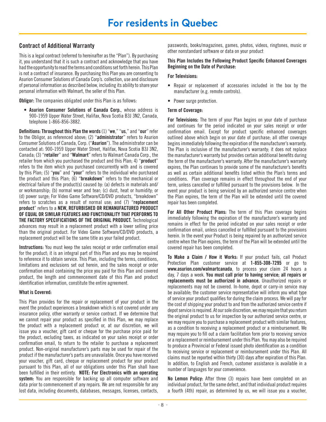# <span id="page-7-0"></span>Contract of Additional Warranty

This is a legal contract (referred to hereinafter as the "Plan"). By purchasing it, you understand that it is such a contract and acknowledge that you have had the opportunity to read the terms and conditions set forth herein. This Plan is not a contract of insurance. By purchasing this Plan you are consenting to Asurion Consumer Solutions of Canada Corp's. collection, use and disclosure of personal information as described below, including its ability to share your personal information with Walmart, the seller of this Plan.

**Obligor:** The companies obligated under this Plan is as follows:

• Asurion Consumer Solutions of Canada Corp., whose address is 900-1959 Upper Water Street, Halifax, Nova Scotia B3J 3N2, Canada, telephone 1-866-856-3882.

Definitions: Throughout this Plan the words (1) "we," "us," and "our" refer to the Obligor, as referenced above; (2) "administrator" refers to Asurion Consumer Solutions of Canada, Corp. ("Asurion"). The administrator can be contacted at: 900-1959 Upper Water Street, Halifax, Nova Scotia B3J 3N2, Canada; (3) "retailer" and "Walmart" refers to Walmart Canada Corp., the retailer from which you purchased the product and this Plan; 4) "product" refers to the item which you purchased concurrently with and is covered by this Plan; (5) "you" and "your" refers to the individual who purchased the product and this Plan; (6) "breakdown" refers to the mechanical or electrical failure of the product(s) caused by: (a) defects in materials and/ or workmanship; (b) normal wear and tear; (c) dust, heat or humidity; or (d) power surge; For Video Game Software/CD/DVD products, "breakdown" refers to scratches as a result of normal use; and (7) "replacement product" refers to a NEW, REFURBISHED OR REMANUFACTURED PRODUCT OF EQUAL OR SIMILAR FEATURES AND FUNCTIONALITY THAT PERFORMS TO THE FACTORY SPECIFICATIONS OF THE ORIGINAL PRODUCT. Technological advances may result in a replacement product with a lower selling price than the original product. For Video Game Software/CD/DVD products, a replacement product will be the same title as your failed product.

Instructions: You must keep the sales receipt or order confirmation email for the product; it is an integral part of this Plan and you may be required to reference it to obtain service. This Plan, including the terms, conditions, limitations and exclusions set out herein, and the sales receipt or order confirmation email containing the price you paid for this Plan and covered product, the length and commencement date of this Plan and product identification information, constitute the entire agreement.

# What is Covered:

This Plan provides for the repair or replacement of your product in the event the product experiences a breakdown which is not covered under any insurance policy, other warranty or service contract. If we determine that we cannot repair your product as specified in this Plan, we may replace the product with a replacement product or, at our discretion, we will issue you a voucher, gift card or cheque for the purchase price paid for the product, excluding taxes, as indicated on your sales receipt or order confirmation email, to return to the retailer to purchase a replacement product. Non-original manufacturer's parts may be used for repair of the product if the manufacturer's parts are unavailable. Once you have received your voucher, gift card, cheque or replacement product for your product pursuant to this Plan, all of our obligations under this Plan shall have been fulfilled in their entirety. NOTE: For Electronics with an operating system: You are responsible for backing up all computer software and data prior to commencement of any repairs. We are not responsible for any lost data, including documents, databases, messages, licenses, contacts,

passwords, books/magazines, games, photos, videos, ringtones, music or other nonstandard software or data on your product

#### This Plan Includes the Following Product Specific Enhanced Coverages Beginning on the Date of Purchase:

#### For Televisions:

- Repair or replacement of accessories included in the box by the manufacturer (e.g. remote controls).
- Power surge protection.

#### Term of Coverage:

For Televisions: The term of your Plan begins on your date of purchase and continues for the period indicated on your sales receipt or order confirmation email. Except for product specific enhanced coverages outlined above which begin on your date of purchase; all other coverage begins immediately following the expiration of the manufacturer's warranty. The Plan is inclusive of the manufacturer's warranty; it does not replace the manufacturer's warranty but provides certain additional benefits during the term of the manufacturer's warranty. After the manufacturer's warranty expires, the Plan continues to provide some of the manufacturer's benefits as well as certain additional benefits listed within the Plan's terms and conditions. Plan coverage remains in effect throughout the end of your term, unless cancelled or fulfilled pursuant to the provisions below. In the event your product is being serviced by an authorized service centre when the Plan expires, the term of the Plan will be extended until the covered repair has been completed.

For All Other Product Plans: The term of this Plan coverage begins immediately following the expiration of the manufacturer's warranty and remains in effect for the period indicated on your sales receipt or order confirmation email, unless cancelled or fulfilled pursuant to the provisions herein. In the event your Product is being repaired by an authorized service centre when the Plan expires, the term of the Plan will be extended until the covered repair has been completed.

To Make a Claim / How it Works: If your product fails, call Product Protection Plan customer service at 1-855-308-7295 or go to www.asurion.com/walmartcanada, to process your claim 24 hours a day, 7 days a week. You must call prior to having service; all repairs or replacements must be authorized in advance. Unauthorized repairs or replacements may not be covered. In-home, depot or carry-in service may be available; the customer service representative will inform you what type of service your product qualifies for during the claim process. We will pay for the cost of shipping your product to and from the authorized service centre if depot service is required. At our sole discretion, we may require that you return the original product to us for inspection by our authorized service centre, or we may require you to purchase a replacement product with similar features, as a condition to receiving a replacement product or a reimbursement. We may require you to fill out a claim facilitation form prior to receiving service or a replacement or reimbursement under this Plan. You may also be required to produce a Provincial or Federal issued photo identification as a condition to receiving service or replacement or reimbursement under this Plan. All claims must be reported within thirty (30) days after expiration of this Plan. In addition, to English and French, customer assistance is available in a number of languages for your convenience.

No Lemon Policy: After three (3) repairs have been completed on an individual product, for the same defect, and that individual product requires a fourth (4th) repair, as determined by us, we will issue you a voucher,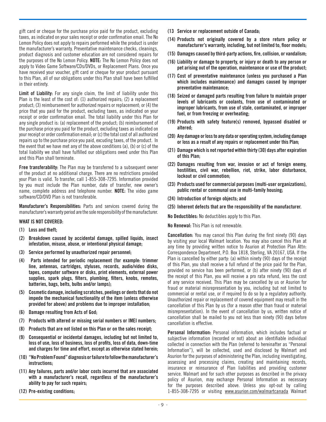gift card or cheque for the purchase price paid for the product, excluding taxes, as indicated on your sales receipt or order confirmation email. The No Lemon Policy does not apply to repairs performed while the product is under the manufacturer's warranty. Preventative maintenance checks, cleanings, product diagnosis and customer education are not considered repairs for the purposes of the No Lemon Policy. NOTE: The No Lemon Policy does not apply to Video Game Software/CDs/DVDs, or Replacement Plans. Once you have received your voucher, gift card or cheque for your product pursuant to this Plan, all of our obligations under this Plan shall have been fulfilled in their entirety.

Limit of Liability: For any single claim, the limit of liability under this Plan is the least of the cost of: (1) authorized repairs; (2) a replacement product; (3) reimbursement for authorized repairs or replacement; or (4) the price that you paid for the product, excluding taxes, as indicated on your receipt or order confirmation email. The total liability under this Plan for any single product is: (a) replacement of the product; (b) reimbursement of the purchase price you paid for the product, excluding taxes as indicated on your receipt or order confirmation email; or (c) the total cost of all authorized repairs up to the purchase price you paid, excuding taxes, of the product. In the event that we have met any of the above conditions (a), (b) or (c) of the total liability we shall have fulfilled our obligations owed under this Plan and this Plan shall terminate.

Free transferability: The Plan may be transferred to a subsequent owner of the product at no additional charge. There are no restrictions provided your Plan is valid. To transfer, call 1-855-308-7295. Information provided by you must include the Plan number, date of transfer, new owner's name, complete address and telephone number. NOTE: The video game software/CD/DVD Plan is not transferable.

Manufacturer's Responsibilities: Parts and services covered during the manufacturer's warranty period are the sole responsibility of the manufacturer.

# WHAT IS NOT COVERED:

- (1) Loss and theft;
- (2) Breakdown caused by accidental damage, spilled liquids, insect infestation, misuse, abuse, or intentional physical damage;
- (3) Service performed by unauthorized repair personnel;
- (4) Parts intended for periodic replacement (for example: trimmer line, antennas, cartridges, styluses, records, audio/video disks, tapes, computer software or disks, print elements, external power supplies, spark plugs, filters, plumbing, filters, knobs, remotes, batteries, bags, belts, bulbs and/or lamps);
- (5) Cosmetic damage, including scratches, peelings or dents that do not impede the mechanical functionality of the item (unless otherwise provided for above) and problems due to improper installation;
- (6) Damage resulting from Acts of God;
- (7) Products with altered or missing serial numbers or IMEI numbers;
- (8) Products that are not listed on this Plan or on the sales receipt;
- (9) Consequential or incidental damages, including but not limited to, loss of use, loss of business, loss of profits, loss of data, down-time and charges for time and effort, except as otherwise stated herein;
- (10) "No Problem Found" diagnosis or failure to follow the manufacturer's instructions;
- (11) Any failures, parts and/or labor costs incurred that are associated with a manufacturer's recall, regardless of the manufacturer's ability to pay for such repairs;
- (12) Pre-existing conditions;
- (13 Service or replacement outside of Canada;
- (14) Products not originally covered by a store return policy or manufacturer's warranty, including, but not limited to, floor models;
- (15) Damages caused by third-party actions, fire, collision, or vandalism;
- (16) Liability or damage to property, or injury or death to any person or pet arising out of the operation, maintenance or use of the product;
- (17) Cost of preventative maintenance (unless you purchased a Plan which includes maintenance) and damages caused by improper preventative maintenance;
- (18) Seized or damaged parts resulting from failure to maintain proper levels of lubricants or coolants, from use of contaminated or improper lubricants, from use of stale, contaminated, or improper fuel, or from freezing or overheating;
- (19) Products with safety feature(s) removed, bypassed disabled or altered;
- (20) Any damage or loss to any data or operating system, including damage or loss as a result of any repairs or replacement under this Plan;
- (21) Damage which is not reported within thirty (30) days after expiration of this Plan;
- (22) Damages resulting from war, invasion or act of foreign enemy, hostilities, civil war, rebellion, riot, strike, labor disturbance, lockout or civil commotion;
- (23) Products used for commercial purposes (multi-user organizations), public rental or communal use in multi-family housing;
- (24) Introduction of foreign objects; and
- (25) Inherent defects that are the responsibility of the manufacturer.

No Deductibles: No deductibles apply to this Plan.

No Renewal: This Plan is not renewable.

Cancellation: You may cancel this Plan during the first ninety (90) days by visiting your local Walmart location. You may also cancel this Plan at any time by providing written notice to Asurion at Protection Plan Attn: Correspondence Department, P.O. Box 1818, Sterling, VA 20167, USA. If the Plan is cancelled by either party: (a) within ninety (90) days of the receipt of this Plan, you shall receive a full refund of the price paid for the Plan, provided no service has been performed, or (b) after ninety (90) days of the receipt of this Plan, you will receive a pro rata refund, less the cost of any service received. This Plan may be cancelled by us or Asurion for fraud or material misrepresentation by you, including but not limited to commercial or rental use, or if required to do so by a regulatory authority. Unauthorized repair or replacement of covered equipment may result in the cancellation of this Plan by us (for a reason other than fraud or material misrepresentation). In the event of cancellation by us, written notice of cancellation shall be mailed to you not less than ninety (90) days before cancellation is effective.

Personal Information: Personal information, which includes factual or subjective information (recorded or not) about an identifiable individual collected in connection with the Plan (referred to hereinafter as "Personal Information"), will be collected, used and disclosed by Walmart and Asurion for the purposes of administering the Plan, including investigating, assessing and processing claims, creating and maintaining records, insurance or reinsurance of Plan liabilities and providing customer service. Walmart and for such other purposes as described in the privacy policy of Asurion, may exchange Personal Information as necessary for the purposes described above. Unless you opt-out by calling 1-855-308-7295 or visiting www.asurion.com/walmartcanada Walmart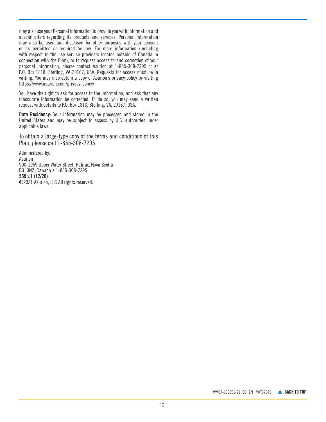may also use your Personal Information to provide you with information and special offers regarding its products and services. Personal Information may also be used and disclosed for other purposes with your consent or as permitted or required by law. For more information (including with respect to the use service providers located outside of Canada in connection with the Plan), or to request access to and correction of your personal information, please contact Asurion at 1-855-308-7295 or at P.O. Box 1818, Sterling, VA 20167, USA. Requests for access must be in writing. You may also obtain a copy of Asurion's privacy policy by visiting https://www.asurion.com/privacy-policy/.

You have the right to ask for access to the information, and ask that any inaccurate information be corrected. To do so, you may send a written request with details to P.O. Box 1818, Sterling, VA, 20167, USA.

Data Residency: Your information may be processed and stored in the United States and may be subject to access by U.S. authorities under applicable laws.

To obtain a large-type copy of the terms and conditions of this Plan, please call 1-855-308-7295.

Administered by: Asurion 900-1959 Upper Water Street, Halifax, Nova Scotia B3J 3N2, Canada • 1-855-308-7295 559 v.1 (12/20) ©2021 Asurion, LLC All rights reserved.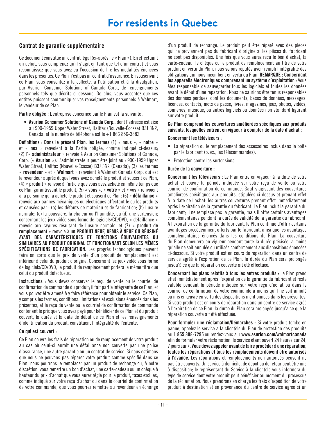# <span id="page-10-0"></span>Contrat de garantie supplémentaire

Ce document constitue un contrat légal (ci-après, le « Plan »). En effectuant un achat, vous comprenez qu'il s'agit en tant que tel d'un contrat et vous reconnaissez que vous avez eu l'occasion de lire les modalités énoncées dans les présentes. Ce Plan n'est pas un contrat d'assurance. En souscrivant ce Plan, vous consentez à la collecte, à l'utilisation et à la divulgation, par Asurion Consumer Solutions of Canada Corp., de renseignements personnels tels que décrits ci-dessous. De plus, vous acceptez que ces entités puissent communiquer vos renseignements personnels à Walmart, le vendeur de ce Plan.

Partie obligée : L'entreprise concernée par le Plan est la suivante :

• Asurion Consumer Solutions of Canada Corp., dont l'adresse est sise au 900-1959 Upper Water Street, Halifax (Nouvelle-Écosse) B3J 3N2, Canada, et le numéro de téléphone est le +1 866 856-3882.

Définitions : Dans le présent Plan, les termes (1) « nous », « notre » et « nos » renvoient à la Partie obligée, comme indiqué ci-dessus; (2) l'« administrateur » renvoie à Asurion Consumer Solutions of Canada, Corp. (« Asurion »). L'administrateur peut être joint au : 900-1959 Upper Water Street, Halifax (Nouvelle-Écosse) B3J 3N2 (Canada); (3) les termes « revendeur » et « Walmart » renvoient à Walmart Canada Corp. qui est le revendeur auprès duquel vous avez acheté le produit et souscrit ce Plan; (4) « produit » renvoie à l'article que vous avez acheté en même temps que ce Plan garantissant le produit; (5) « vous », « votre » et « vos » renvoient à la personne qui a acheté le produit et souscrit ce Plan; (6) « défaillance » renvoie aux pannes mécaniques ou électriques affectant le ou les produits et causées par : (a) les défauts de matériau et de fabrication; (b) l'usure normale; (c) la poussière, la chaleur ou l'humidité, ou (d) une surtension; concernant les jeux vidéo sous forme de logiciels/CD/DVD, « défaillance » renvoie aux rayures résultant de l'usure normale, et (7) « produit de remplacement » renvoie à un PRODUIT NEUF, REMIS À NEUF OU RÉUSINÉ AYANT DES CARACTÉRISTIQUES ET FONCTIONS ÉQUIVALENTES OU SIMILAIRES AU PRODUIT ORIGINAL ET FONCTIONNANT SELON LES MÊMES SPÉCIFICATIONS DE FABRICATION. Les progrès technologiques peuvent faire en sorte que le prix de vente d'un produit de remplacement est inférieur à celui du produit d'origine. Concernant les jeux vidéo sous forme de logiciels/CD/DVD, le produit de remplacement portera le même titre que celui du produit défectueux.

Instructions : Vous devez conserver le reçu de vente ou le courriel de confirmation de commande du produit; il fait partie intégrante de ce Plan, et vous pouvez être amené à y faire référence pour obtenir le service. Ce Plan, y compris les termes, conditions, limitations et exclusions énoncés dans les présentes, et le reçu de vente ou le courriel de confirmation de commande contenant le prix que vous avez payé pour bénéficier de ce Plan et du produit couvert, la durée et la date de début de ce Plan et les renseignements d'identification du produit, constituent l'intégralité de l'entente.

# Ce qui est couvert :

Ce Plan couvre les frais de réparation ou de remplacement de votre produit au cas où celui-ci aurait une défaillance non couverte par une police d'assurance, une autre garantie ou un contrat de service. Si nous estimons que nous ne pouvons pas réparer votre produit comme spécifié dans ce Plan, nous pourrons le remplacer par un produit de rechange ou, à notre discrétion, vous remettre un bon d'achat, une carte-cadeau ou un chèque à hauteur du prix d'achat que vous aurez réglé pour le produit, taxes exclues, comme indiqué sur votre reçu d'achat ou dans le courriel de confirmation de votre commande, que vous pourrez remettre au revendeur en échange

d'un produit de rechange. Le produit peut être réparé avec des pièces qui ne proviennent pas du fabricant d'origine si les pièces du fabricant ne sont pas disponibles. Une fois que vous aurez reçu le bon d'achat, la carte-cadeau, le chèque ou le produit de remplacement au titre de votre produit en vertu du Plan, nous serons réputés avoir rempli l'intégralité des obligations qui nous incombent en vertu du Plan. REMARQUE : Concernant les appareils électroniques comprenant un système d'exploitation : Vous êtes responsable de sauvegarder tous les logiciels et toutes les données avant le début d'une réparation. Nous ne saurions être tenus responsables des données perdues, dont les documents, bases de données, messages, licences, contacts, mots de passe, livres, magazines, jeux, photos, vidéos, sonneries, musique; ou autres logiciels ou données non standard figurant sur votre produit.

# Ce Plan comprend les couvertures améliorées spécifiques aux produits suivants, lesquelles entrent en vigueur à compter de la date d'achat :

# Concernant les téléviseurs :

- La réparation ou le remplacement des accessoires inclus dans la boîte par le fabricant (p. ex., les télécommandes).
- Protection contre les surtensions.

# Durée de la couverture :

Concernant les téléviseurs : Le Plan entre en vigueur à la date de votre achat et couvre la période indiquée sur votre reçu de vente ou votre courriel de confirmation de commande. Sauf s'agissant des couvertures améliorées spécifiques aux produits, stipulées ci-dessus et prenant effet à la date de l'achat; les autres couvertures prenant effet immédiatement après l'expiration de la garantie du fabricant. Le Plan inclut la garantie du fabricant; il ne remplace pas la garantie, mais il offre certains avantages complémentaires pendant la durée de validité de la garantie du fabricant. À l'expiration de la garantie du fabricant, le Plan continue d'offrir certains avantages précédemment offerts par le fabricant, ainsi que les avantages complémentaires énoncés dans les conditions du Plan. La couverture du Plan demeurera en vigueur pendant toute la durée précisée, à moins qu'elle ne soit annulée ou utilisée conformément aux dispositions énoncées ci-dessous. Si votre produit est en cours de réparation dans un centre de service agréé à l'expiration de ce Plan, la durée du Plan sera prolongée jusqu'à ce que la réparation couverte ait été effectuée.

Concernant les plans relatifs à tous les autres produits : Le Plan prend effet immédiatement après l'expiration de la garantie du fabricant et reste valable pendant la période indiquée sur votre reçu d'achat ou dans le courriel de confirmation de votre commande à moins qu'il ne soit annulé ou mis en œuvre en vertu des dispositions mentionnées dans les présentes. Si votre produit est en cours de réparation dans un centre de service agréé à l'expiration de ce Plan, la durée du Plan sera prolongée jusqu'à ce que la réparation couverte ait été effectuée.

Pour formuler une réclamation/Démarches : Si votre produit tombe en panne, appelez le service à la clientèle du Plan de protection des produits au 1 855 308-7295 ou rendez-vous sur www.asurion.com/walmartcanada afin de formuler votre réclamation, le service étant ouvert 24 heures sur 24, 7 jours sur 7. Vous devez appeler avant de faire procéder à une réparation; toutes les réparations et tous les remplacements doivent être autorisés à l'avance. Les réparations et remplacements non autorisés peuvent ne pas être couverts. Un service à domicile, de dépôt ou de retour peut être mis à disposition; le représentant du Service à la clientèle vous informera du type de service dont votre produit peut bénéficier au moment du processus de la réclamation. Nous prendrons en charge les frais d'expédition de votre produit à destination et en provenance du centre de service agréé si un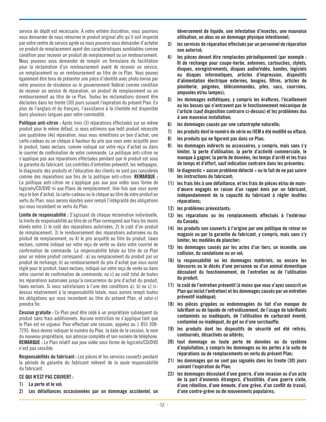service de dépôt est nécessaire. À notre entière discrétion, nous pourrons vous demander de nous retourner le produit original afin qu'il soit inspecté par notre centre de service agréé ou nous pouvons vous demander d'acheter un produit de remplacement ayant des caractéristiques semblables comme condition pour recevoir un produit de remplacement ou un remboursement. Nous pouvons vous demander de remplir un formulaire de facilitation pour la réclamation d'un remboursement avant de recevoir un service, un remplacement ou un remboursement au titre de ce Plan. Vous pouvez également être tenu de présenter une pièce d'identité avec photo émise par votre province de résidence ou le gouvernement fédéral comme condition de recevoir un service de réparation, un produit de remplacement ou un remboursement au titre de ce Plan. Toutes les réclamations doivent être déclarées dans les trente (30) jours suivant l'expiration du présent Plan. En plus de l'anglais et du français, l'assistance à la clientèle est disponible dans plusieurs langues pour votre commodité.

Politique anti-citron : Après trois (3) réparations effectuées sur un même produit pour le même défaut, si nous estimons que ledit produit nécessite une quatrième (4e) réparation, nous vous remettrons un bon d'achat, une carte-cadeau ou un chèque à hauteur du prix que vous avez acquitté pour le produit, taxes exclues, comme indiqué sur votre reçu d'achat ou dans le courriel de confirmation de votre commande. La politique anti-citron ne s'applique pas aux réparations effectuées pendant que le produit est sous la garantie du fabricant. Les contrôles d'entretien préventif, les nettoyages, le diagnostic des produits et l'éducation des clients ne sont pas considérés comme des réparations aux fins de la politique anti-citron. REMARQUE : La politique anti-citron ne s'applique pas aux jeux vidéo sous forme de logiciels/CD/DVD ni aux Plans de remplacement. Une fois que vous aurez reçu le bon d'achat, la carte-cadeau ou le chèque au titre de votre produit en vertu du Plan, nous serons réputés avoir rempli l'intégralité des obligations qui nous incombent en vertu du Plan.

Limite de responsabilité : S'agissant de chaque réclamation individuelle, la limite de responsabilité au titre de ce Plan correspond aux frais les moins élevés entre 1) le coût des réparations autorisées, 2) le coût d'un produit de remplacement, 3) le remboursement des réparations autorisées ou du produit de remplacement, ou 4) le prix acquitté au titre du produit, taxes exclues, comme indiqué sur votre reçu de vente ou dans votre courriel de confirmation de commande. La responsabilité totale au titre de ce Plan pour un même produit correspond : a) au remplacement du produit par un produit de rechange; b) au remboursement du prix d'achat que vous aurez réglé pour le produit, taxes exclues, indiqué sur votre reçu de vente ou dans votre courriel de confirmation de commande, ou c) au coût total de toutes les réparations autorisées jusqu'à concurrence du prix d'achat du produit, taxes exclues. Si nous satisfaisons à l'une des conditions a), b) ou c) cidessus relativement à la responsabilité totale, nous aurons rempli toutes les obligations qui nous incombent au titre du présent Plan, et celui-ci prendra fin.

Cession gratuite : Ce Plan peut être cédé à un propriétaire subséquent du produit sans frais additionnels. Aucune restriction ne s'applique tant que le Plan est en vigueur. Pour effectuer une cession, appelez au 1 855 308- 7295. Vous devrez indiquer le numéro du Plan, la date de la cession, le nom du nouveau propriétaire, son adresse complète et son numéro de téléphone. REMARQUE : Le Plan relatif aux jeux vidéo sous forme de logiciels/CD/DVD n'est pas cessible.

Responsabilités du fabricant : Les pièces et les services couverts pendant la période de garantie du fabricant relèvent de la seule responsabilité du fabricant.

# CE QUI N'EST PAS COUVERT :

- 1) La perte et le vol;
- 2) Les défaillances occasionnées par un dommage accidentel, un

déversement de liquide, une infestation d'insectes, une mauvaise utilisation, un abus ou un dommage physique intentionnel;

- 3) les services de réparation effectués par un personnel de réparation non autorisé;
- 4) les pièces devant être remplacées périodiquement (par exemple : fil de rechange pour coupe-herbe, antennes, cartouches, stylets, disques, enregistrements, disques audio/vidéo, bandes, logiciels ou disques informatiques, articles d'impression, dispositifs d'alimentation électrique externes, bougies, filtres, articles de plomberie, poignées, télécommandes, piles, sacs, courroies, ampoules et/ou lampes);
- 5) les dommages esthétiques, y compris les éraflures, l'écaillement ou les bosses qui n'entravent pas le fonctionnement mécanique de l'article (sauf disposition contraire ci-dessus) et les problèmes dus à une mauvaise installation;
- 6) les dommages causés par une catastrophe naturelle;
- 7) les produits dont le numéro de série ou IIEM a été modifié ou effacé;
- 8) les produits qui ne figurent pas dans ce Plan;
- 9) les dommages indirects ou accessoires, y compris, mais sans s'y limiter, la perte d'utilisation, la perte d'activité commerciale, le manque à gagner, la perte de données, les temps d'arrêt et les frais de temps et d'effort, sauf indication contraire dans les présentes;
- 10) le diagnostic « aucun problème détecté » ou le fait de ne pas suivre les instructions du fabricant;
- 11) les frais liés à une défaillance, et les frais de pièces et/ou de maind'œuvre engagés en raison d'un rappel émis par un fabricant, indépendamment de la capacité du fabricant à régler lesdites réparations;
- 12) les problèmes préexistants;
- 13) les réparations ou les remplacements effectués à l'extérieur du Canada;
- 14) les produits non couverts à l'origine par une politique de retour en magasin ou par la garantie du fabricant, y compris, mais sans s'y limiter, les modèles de plancher;
- 15) les dommages causés par les actes d'un tiers, un incendie, une collision, du vandalisme ou un vol;
- 16) la responsabilité ou les dommages matériels, ou encore les blessures ou le décès d'une personne ou d'un animal domestique découlant du fonctionnement, de l'entretien ou de l'utilisation du produit;
- 17) le coût de l'entretien préventif (à moins que vous n'ayez souscrit un Plan qui inclut l'entretien) et les dommages causés par un entretien préventif inadéquat;
- 18) les pièces grippées ou endommagées du fait d'un manque de lubrifiant ou de liquide de refroidissement, de l'usage de lubrifiants contaminés ou inadéquats, de l'utilisation de carburant éventé, contaminé ou inadéquat, du gel ou d'une surchauffe;
- 19) les produits dont les dispositifs de sécurité ont été retirés, contournés, désactivés ou altérés;
- 20) tout dommage ou toute perte de données ou du système d'exploitation, y compris les dommages ou les pertes à la suite de réparations ou de remplacements en vertu du présent Plan;
- 21) les dommages qui ne sont pas signalés dans les trente (30) jours suivant l'expiration du Plan;
- 22) les dommages découlant d'une guerre, d'une invasion ou d'un acte de la part d'ennemis étrangers, d'hostilités, d'une guerre civile, d'une rébellion, d'une émeute, d'une grève, d'un conflit de travail, d'une contre-grève ou de mouvements populaires;